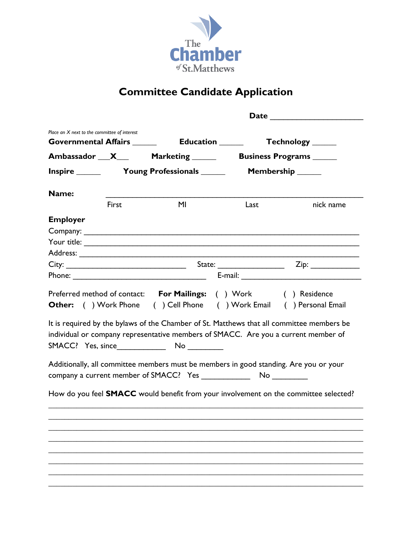

## **Committee Candidate Application**

| Place an X next to the committee of interest |            |                                                                                                                                                                                                                                                                          | Governmental Affairs ________ Education _______ Technology _____ |           |  |
|----------------------------------------------|------------|--------------------------------------------------------------------------------------------------------------------------------------------------------------------------------------------------------------------------------------------------------------------------|------------------------------------------------------------------|-----------|--|
|                                              |            | Ambassador X Marketing Business Programs                                                                                                                                                                                                                                 |                                                                  |           |  |
|                                              | Membership |                                                                                                                                                                                                                                                                          |                                                                  |           |  |
| Name:                                        |            |                                                                                                                                                                                                                                                                          |                                                                  |           |  |
|                                              | First      | M <sub>l</sub>                                                                                                                                                                                                                                                           | Last                                                             | nick name |  |
| <b>Employer</b>                              |            |                                                                                                                                                                                                                                                                          |                                                                  |           |  |
|                                              |            |                                                                                                                                                                                                                                                                          |                                                                  |           |  |
|                                              |            |                                                                                                                                                                                                                                                                          |                                                                  |           |  |
|                                              |            |                                                                                                                                                                                                                                                                          |                                                                  |           |  |
|                                              |            |                                                                                                                                                                                                                                                                          |                                                                  |           |  |
|                                              |            | It is required by the bylaws of the Chamber of St. Matthews that all committee members be<br>individual or company representative members of SMACC. Are you a current member of<br>Additionally, all committee members must be members in good standing. Are you or your |                                                                  |           |  |
|                                              |            | How do you feel <b>SMACC</b> would benefit from your involvement on the committee selected?                                                                                                                                                                              |                                                                  |           |  |
|                                              |            |                                                                                                                                                                                                                                                                          |                                                                  |           |  |
|                                              |            |                                                                                                                                                                                                                                                                          |                                                                  |           |  |
|                                              |            |                                                                                                                                                                                                                                                                          |                                                                  |           |  |
|                                              |            |                                                                                                                                                                                                                                                                          |                                                                  |           |  |
|                                              |            |                                                                                                                                                                                                                                                                          |                                                                  |           |  |
|                                              |            |                                                                                                                                                                                                                                                                          |                                                                  |           |  |